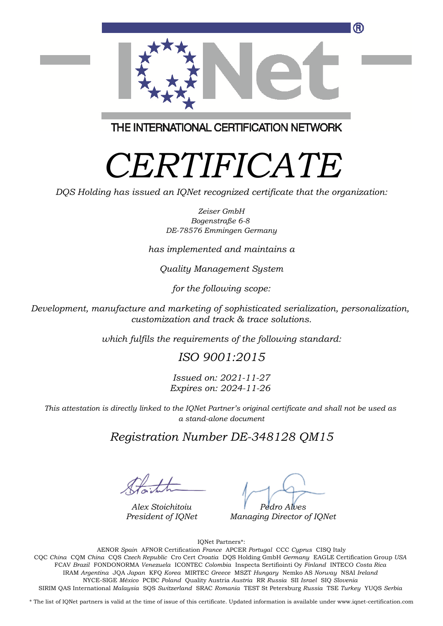

THE INTERNATIONAL CERTIFICATION NETWORK

## *CERTIFICATE*

*DQS Holding has issued an IQNet recognized certificate that the organization:*

*Zeiser GmbH Bogenstraße 6-8 DE-78576 Emmingen Germany*

*has implemented and maintains a*

*Quality Management System*

*for the following scope:*

*Development, manufacture and marketing of sophisticated serialization, personalization, customization and track & trace solutions.*

*which fulfils the requirements of the following standard:*

*ISO 9001:2015*

*Issued on: 2021-11-27 Expires on: 2024-11-26*

*This attestation is directly linked to the IQNet Partner's original certificate and shall not be used as a stand-alone document*

*Registration Number DE-348128 QM15*

*Alex Stoichitoiu President of IQNet*

*Pedro Alves*

*Managing Director of IQNet*

IQNet Partners\*:

This annex is only valid in connection with the above-mentioned certificate. FCAV *Brazil* FONDONORMA *Venezuela* ICONTEC *Colombia* Inspecta Sertifiointi Oy *Finland* INTECO *Costa Rica* AENOR *Spain* AFNOR Certification *France* APCER *Portugal* CCC *Cyprus* CISQ Italy CQC *China* CQM *China* CQS *Czech Republic* Cro Cert *Croatia* DQS Holding GmbH *Germany* EAGLE Certification Group *USA* IRAM *Argentina* JQA *Japan* KFQ *Korea* MIRTEC *Greece* MSZT *Hungary* Nemko AS *Norway* NSAI *Ireland* NYCE-SIGE *México* PCBC *Poland* Quality Austria *Austria* RR *Russia* SII *Israel* SIQ *Slovenia* SIRIM QAS International *Malaysia* SQS *Switzerland* SRAC *Romania* TEST St Petersburg *Russia* TSE *Turkey* YUQS *Serbia*

\* The list of IQNet partners is valid at the time of issue of this certificate. Updated information is available under www.iqnet-certification.com